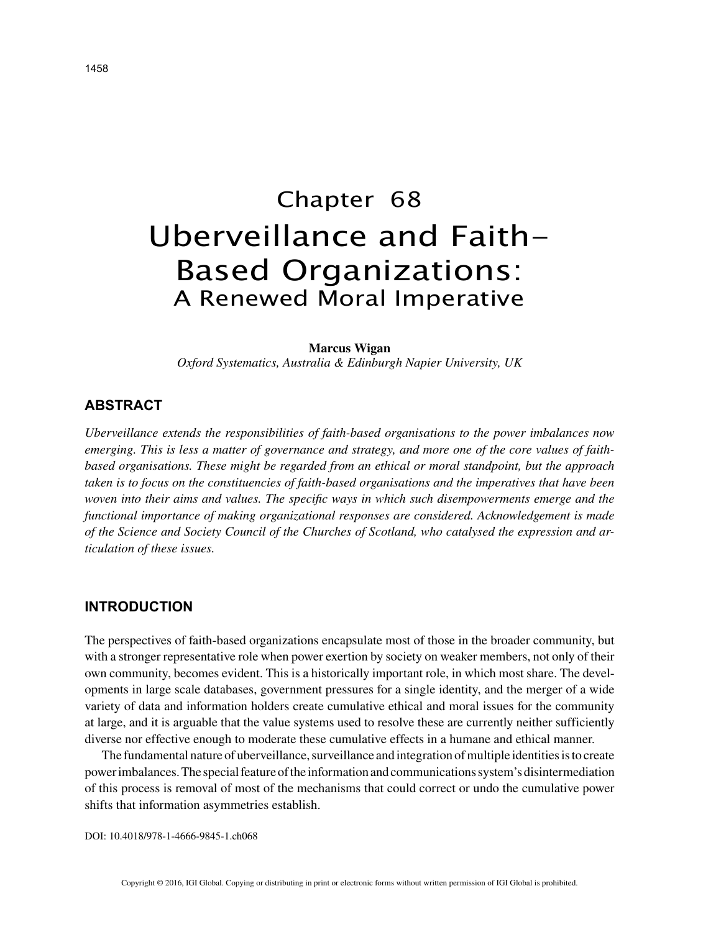# Chapter 68 Uberveillance and Faith-Based Organizations: A Renewed Moral Imperative

#### **Marcus Wigan**

*Oxford Systematics, Australia & Edinburgh Napier University, UK*

### **ABSTRACT**

*Uberveillance extends the responsibilities of faith-based organisations to the power imbalances now emerging. This is less a matter of governance and strategy, and more one of the core values of faithbased organisations. These might be regarded from an ethical or moral standpoint, but the approach taken is to focus on the constituencies of faith-based organisations and the imperatives that have been woven into their aims and values. The specific ways in which such disempowerments emerge and the functional importance of making organizational responses are considered. Acknowledgement is made of the Science and Society Council of the Churches of Scotland, who catalysed the expression and articulation of these issues.*

#### **INTRODUCTION**

The perspectives of faith-based organizations encapsulate most of those in the broader community, but with a stronger representative role when power exertion by society on weaker members, not only of their own community, becomes evident. This is a historically important role, in which most share. The developments in large scale databases, government pressures for a single identity, and the merger of a wide variety of data and information holders create cumulative ethical and moral issues for the community at large, and it is arguable that the value systems used to resolve these are currently neither sufficiently diverse nor effective enough to moderate these cumulative effects in a humane and ethical manner.

The fundamental nature of uberveillance, surveillance and integration of multiple identities is to create power imbalances. The special feature of the information and communications system's disintermediation of this process is removal of most of the mechanisms that could correct or undo the cumulative power shifts that information asymmetries establish.

DOI: 10.4018/978-1-4666-9845-1.ch068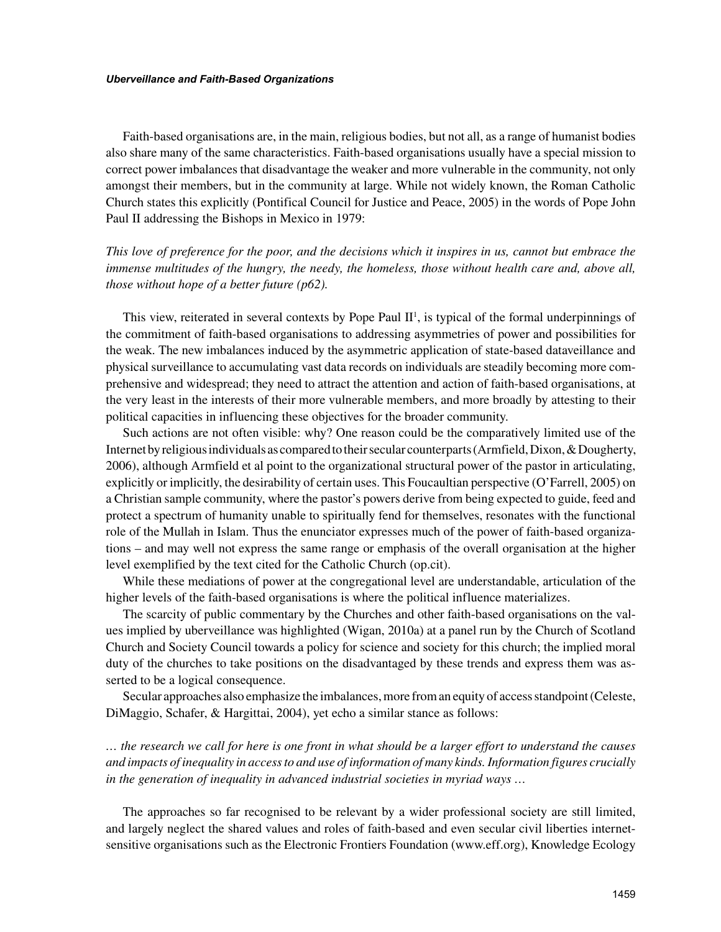Faith-based organisations are, in the main, religious bodies, but not all, as a range of humanist bodies also share many of the same characteristics. Faith-based organisations usually have a special mission to correct power imbalances that disadvantage the weaker and more vulnerable in the community, not only amongst their members, but in the community at large. While not widely known, the Roman Catholic Church states this explicitly (Pontifical Council for Justice and Peace, 2005) in the words of Pope John Paul II addressing the Bishops in Mexico in 1979:

*This love of preference for the poor, and the decisions which it inspires in us, cannot but embrace the immense multitudes of the hungry, the needy, the homeless, those without health care and, above all, those without hope of a better future (p62).*

This view, reiterated in several contexts by Pope Paul  $II<sup>1</sup>$ , is typical of the formal underpinnings of the commitment of faith-based organisations to addressing asymmetries of power and possibilities for the weak. The new imbalances induced by the asymmetric application of state-based dataveillance and physical surveillance to accumulating vast data records on individuals are steadily becoming more comprehensive and widespread; they need to attract the attention and action of faith-based organisations, at the very least in the interests of their more vulnerable members, and more broadly by attesting to their political capacities in influencing these objectives for the broader community.

Such actions are not often visible: why? One reason could be the comparatively limited use of the Internet by religious individuals as compared to their secular counterparts (Armfield, Dixon, & Dougherty, 2006), although Armfield et al point to the organizational structural power of the pastor in articulating, explicitly or implicitly, the desirability of certain uses. This Foucaultian perspective (O'Farrell, 2005) on a Christian sample community, where the pastor's powers derive from being expected to guide, feed and protect a spectrum of humanity unable to spiritually fend for themselves, resonates with the functional role of the Mullah in Islam. Thus the enunciator expresses much of the power of faith-based organizations – and may well not express the same range or emphasis of the overall organisation at the higher level exemplified by the text cited for the Catholic Church (op.cit).

While these mediations of power at the congregational level are understandable, articulation of the higher levels of the faith-based organisations is where the political influence materializes.

The scarcity of public commentary by the Churches and other faith-based organisations on the values implied by uberveillance was highlighted (Wigan, 2010a) at a panel run by the Church of Scotland Church and Society Council towards a policy for science and society for this church; the implied moral duty of the churches to take positions on the disadvantaged by these trends and express them was asserted to be a logical consequence.

Secular approaches also emphasize the imbalances, more from an equity of access standpoint (Celeste, DiMaggio, Schafer, & Hargittai, 2004), yet echo a similar stance as follows:

*… the research we call for here is one front in what should be a larger effort to understand the causes and impacts of inequality in access to and use of information of many kinds. Information figures crucially in the generation of inequality in advanced industrial societies in myriad ways …*

The approaches so far recognised to be relevant by a wider professional society are still limited, and largely neglect the shared values and roles of faith-based and even secular civil liberties internetsensitive organisations such as the Electronic Frontiers Foundation (www.eff.org), Knowledge Ecology